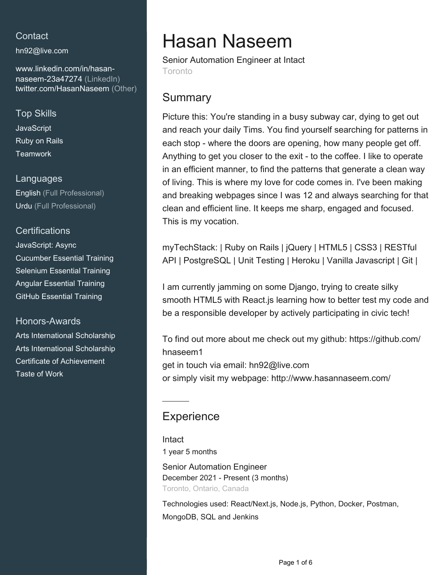## **Contact**

[hn92@live.com](mailto:hn92@live.com)

[www.linkedin.com/in/hasan](https://www.linkedin.com/in/hasan-naseem-23a47274?jobid=1234&lipi=urn%3Ali%3Apage%3Ad_jobs_easyapply_pdfgenresume%3BtWGeb8nCTaiNr%2FnD80Zdkw%3D%3D&licu=urn%3Ali%3Acontrol%3Ad_jobs_easyapply_pdfgenresume-v02_profile)[naseem-23a47274 \(LinkedIn\)](https://www.linkedin.com/in/hasan-naseem-23a47274?jobid=1234&lipi=urn%3Ali%3Apage%3Ad_jobs_easyapply_pdfgenresume%3BtWGeb8nCTaiNr%2FnD80Zdkw%3D%3D&licu=urn%3Ali%3Acontrol%3Ad_jobs_easyapply_pdfgenresume-v02_profile) [twitter.com/HasanNaseem \(Other\)](https://twitter.com/HasanNaseem)

## Top Skills

**JavaScript** Ruby on Rails **Teamwork** 

### Languages

English (Full Professional) Urdu (Full Professional)

## **Certifications**

JavaScript: Async Cucumber Essential Training Selenium Essential Training Angular Essential Training GitHub Essential Training

### Honors-Awards

Arts International Scholarship Arts International Scholarship Certificate of Achievement Taste of Work

# Hasan Naseem

Senior Automation Engineer at Intact Toronto

# **Summary**

Picture this: You're standing in a busy subway car, dying to get out and reach your daily Tims. You find yourself searching for patterns in each stop - where the doors are opening, how many people get off. Anything to get you closer to the exit - to the coffee. I like to operate in an efficient manner, to find the patterns that generate a clean way of living. This is where my love for code comes in. I've been making and breaking webpages since I was 12 and always searching for that clean and efficient line. It keeps me sharp, engaged and focused. This is my vocation.

myTechStack: | Ruby on Rails | jQuery | HTML5 | CSS3 | RESTful API | PostgreSQL | Unit Testing | Heroku | Vanilla Javascript | Git |

I am currently jamming on some Django, trying to create silky smooth HTML5 with React.js learning how to better test my code and be a responsible developer by actively participating in civic tech!

To find out more about me check out my github: https://github.com/ hnaseem1 get in touch via email: hn92@live.com or simply visit my webpage: http://www.hasannaseem.com/

# **Experience**

Intact 1 year 5 months

Senior Automation Engineer December 2021 - Present (3 months) Toronto, Ontario, Canada

Technologies used: React/Next.js, Node.js, Python, Docker, Postman, MongoDB, SQL and Jenkins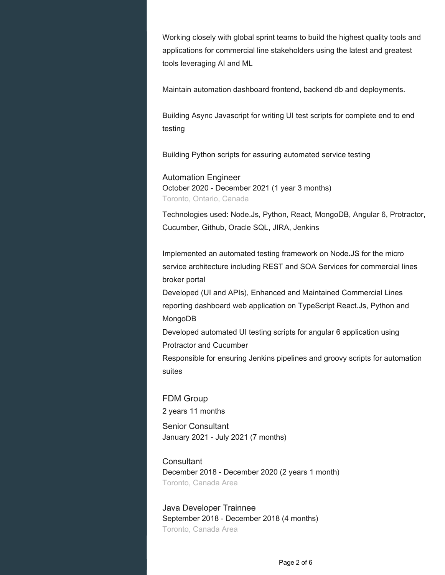Working closely with global sprint teams to build the highest quality tools and applications for commercial line stakeholders using the latest and greatest tools leveraging AI and ML

Maintain automation dashboard frontend, backend db and deployments.

Building Async Javascript for writing UI test scripts for complete end to end testing

Building Python scripts for assuring automated service testing

### Automation Engineer October 2020 - December 2021 (1 year 3 months) Toronto, Ontario, Canada

Technologies used: Node.Js, Python, React, MongoDB, Angular 6, Protractor, Cucumber, Github, Oracle SQL, JIRA, Jenkins

Implemented an automated testing framework on Node.JS for the micro service architecture including REST and SOA Services for commercial lines broker portal

Developed (UI and APIs), Enhanced and Maintained Commercial Lines reporting dashboard web application on TypeScript React.Js, Python and MongoDB

Developed automated UI testing scripts for angular 6 application using Protractor and Cucumber

Responsible for ensuring Jenkins pipelines and groovy scripts for automation suites

FDM Group 2 years 11 months Senior Consultant January 2021 - July 2021 (7 months)

**Consultant** December 2018 - December 2020 (2 years 1 month) Toronto, Canada Area

Java Developer Trainnee September 2018 - December 2018 (4 months) Toronto, Canada Area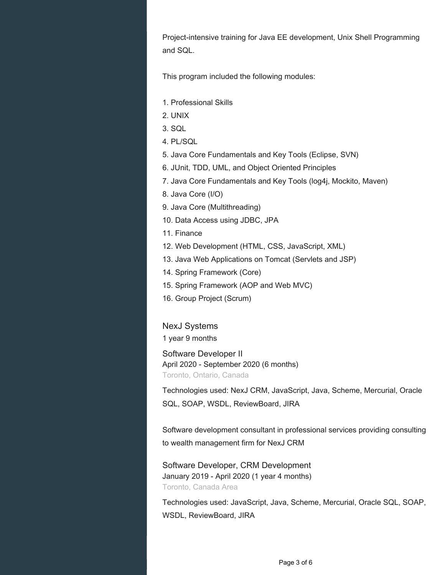Project-intensive training for Java EE development, Unix Shell Programming and SQL.

This program included the following modules:

- 1. Professional Skills
- 2. UNIX
- 3. SQL
- 4. PL/SQL
- 5. Java Core Fundamentals and Key Tools (Eclipse, SVN)
- 6. JUnit, TDD, UML, and Object Oriented Principles
- 7. Java Core Fundamentals and Key Tools (log4j, Mockito, Maven)
- 8. Java Core (I/O)
- 9. Java Core (Multithreading)
- 10. Data Access using JDBC, JPA
- 11. Finance
- 12. Web Development (HTML, CSS, JavaScript, XML)
- 13. Java Web Applications on Tomcat (Servlets and JSP)
- 14. Spring Framework (Core)
- 15. Spring Framework (AOP and Web MVC)
- 16. Group Project (Scrum)

NexJ Systems

1 year 9 months

Software Developer II April 2020 - September 2020 (6 months) Toronto, Ontario, Canada

Technologies used: NexJ CRM, JavaScript, Java, Scheme, Mercurial, Oracle SQL, SOAP, WSDL, ReviewBoard, JIRA

Software development consultant in professional services providing consulting to wealth management firm for NexJ CRM

Software Developer, CRM Development January 2019 - April 2020 (1 year 4 months) Toronto, Canada Area

Technologies used: JavaScript, Java, Scheme, Mercurial, Oracle SQL, SOAP, WSDL, ReviewBoard, JIRA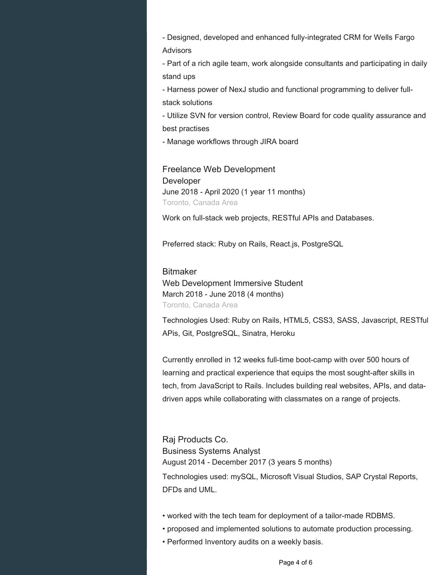- Designed, developed and enhanced fully-integrated CRM for Wells Fargo Advisors

- Part of a rich agile team, work alongside consultants and participating in daily stand ups

- Harness power of NexJ studio and functional programming to deliver fullstack solutions

- Utilize SVN for version control, Review Board for code quality assurance and best practises

- Manage workflows through JIRA board

Freelance Web Development Developer June 2018 - April 2020 (1 year 11 months) Toronto, Canada Area

Work on full-stack web projects, RESTful APIs and Databases.

Preferred stack: Ruby on Rails, React.js, PostgreSQL

## Bitmaker Web Development Immersive Student March 2018 - June 2018 (4 months) Toronto, Canada Area

Technologies Used: Ruby on Rails, HTML5, CSS3, SASS, Javascript, RESTful APis, Git, PostgreSQL, Sinatra, Heroku

Currently enrolled in 12 weeks full-time boot-camp with over 500 hours of learning and practical experience that equips the most sought-after skills in tech, from JavaScript to Rails. Includes building real websites, APIs, and datadriven apps while collaborating with classmates on a range of projects.

Raj Products Co. Business Systems Analyst August 2014 - December 2017 (3 years 5 months)

Technologies used: mySQL, Microsoft Visual Studios, SAP Crystal Reports, DFDs and UML.

- worked with the tech team for deployment of a tailor-made RDBMS.
- proposed and implemented solutions to automate production processing.
- Performed Inventory audits on a weekly basis.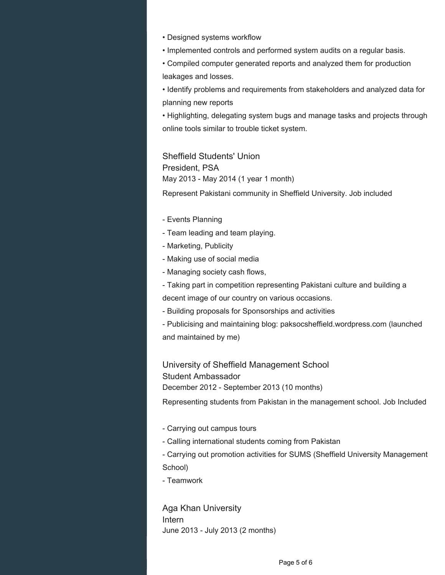- Designed systems workflow
- Implemented controls and performed system audits on a regular basis.

• Compiled computer generated reports and analyzed them for production leakages and losses.

• Identify problems and requirements from stakeholders and analyzed data for planning new reports

• Highlighting, delegating system bugs and manage tasks and projects through online tools similar to trouble ticket system.

Sheffield Students' Union President, PSA May 2013 - May 2014 (1 year 1 month)

Represent Pakistani community in Sheffield University. Job included

- Events Planning
- Team leading and team playing.
- Marketing, Publicity
- Making use of social media
- Managing society cash flows,
- Taking part in competition representing Pakistani culture and building a
- decent image of our country on various occasions.
- Building proposals for Sponsorships and activities
- Publicising and maintaining blog: paksocsheffield.wordpress.com (launched and maintained by me)

University of Sheffield Management School Student Ambassador December 2012 - September 2013 (10 months)

Representing students from Pakistan in the management school. Job Included

- Carrying out campus tours
- Calling international students coming from Pakistan
- Carrying out promotion activities for SUMS (Sheffield University Management School)
- Teamwork

Aga Khan University Intern June 2013 - July 2013 (2 months)